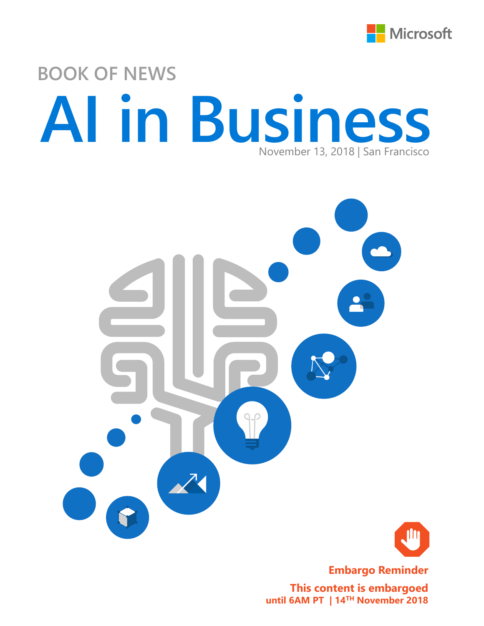

# **BOOK OF NEWS AI in Business** November 13, 2018 | San Francisco





**Embargo Reminder**

**This content is embargoed until 6AM PT | 14TH November 2018**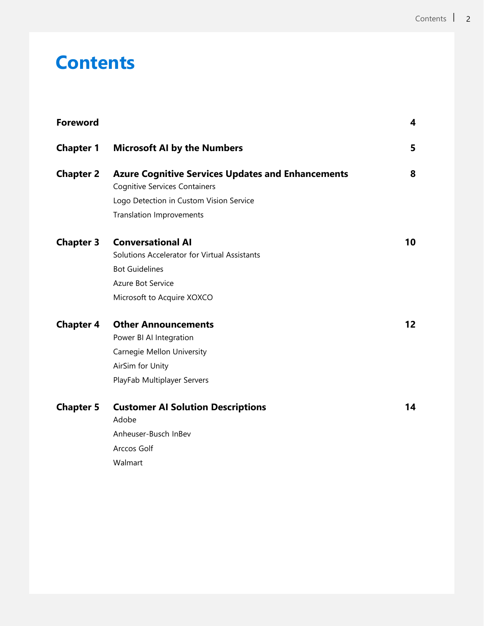# **Contents**

| <b>Foreword</b>  |                                                                                                                                                             | 4  |
|------------------|-------------------------------------------------------------------------------------------------------------------------------------------------------------|----|
| <b>Chapter 1</b> | <b>Microsoft AI by the Numbers</b>                                                                                                                          | 5  |
| <b>Chapter 2</b> | <b>Azure Cognitive Services Updates and Enhancements</b><br><b>Cognitive Services Containers</b>                                                            | 8  |
|                  | Logo Detection in Custom Vision Service<br><b>Translation Improvements</b>                                                                                  |    |
| <b>Chapter 3</b> | <b>Conversational AI</b><br>Solutions Accelerator for Virtual Assistants<br><b>Bot Guidelines</b><br><b>Azure Bot Service</b><br>Microsoft to Acquire XOXCO | 10 |
| <b>Chapter 4</b> | <b>Other Announcements</b><br>Power BI AI Integration<br>Carnegie Mellon University<br>AirSim for Unity<br>PlayFab Multiplayer Servers                      | 12 |
| <b>Chapter 5</b> | <b>Customer AI Solution Descriptions</b><br>Adobe<br>Anheuser-Busch InBev<br>Arccos Golf<br>Walmart                                                         | 14 |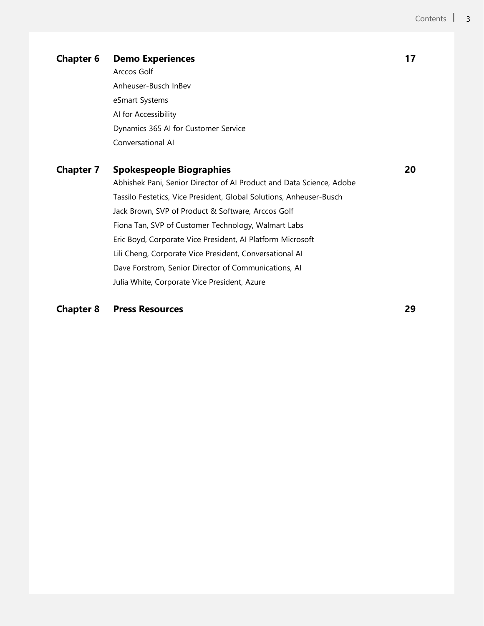### **Chapter 6 • Demo Experiences** 17

Arccos Golf Anheuser-Busch InBev eSmart Systems AI for Accessibility Dynamics 365 AI for Customer Service Conversational AI

## **Chapter 7 Spokespeople Biographies 20**

Abhishek Pani, Senior Director of AI Product and Data Science, Adobe Tassilo Festetics, Vice President, Global Solutions, Anheuser-Busch Jack Brown, SVP of Product & Software, Arccos Golf Fiona Tan, SVP of Customer Technology, Walmart Labs Eric Boyd, Corporate Vice President, AI Platform Microsoft Lili Cheng, Corporate Vice President, Conversational AI Dave Forstrom, Senior Director of Communications, AI Julia White, Corporate Vice President, Azure

### **Chapter 8 Press Resources 29**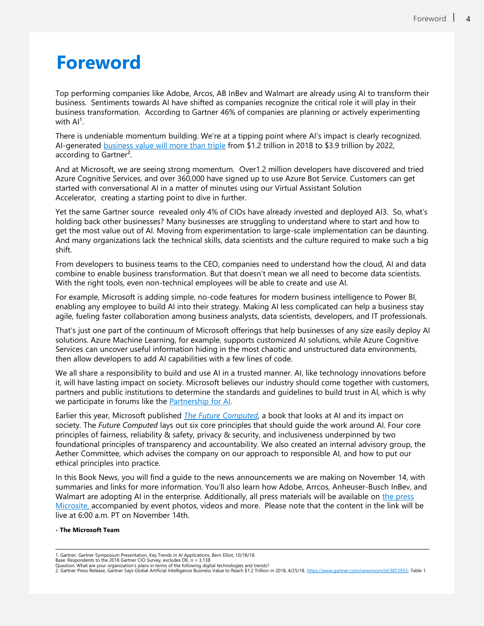## **Foreword**

Top performing companies like Adobe, Arcos, AB InBev and Walmart are already using AI to transform their business. Sentiments towards AI have shifted as companies recognize the critical role it will play in their business transformation. According to Gartner 46% of companies are planning or actively experimenting with  $Al<sup>1</sup>$ .

There is undeniable momentum building. We're at a tipping point where AI's impact is clearly recognized. AI-generated [business value will more than triple](https://www.gartner.com/newsroom/id/3872933) from \$1.2 trillion in 2018 to \$3.9 trillion by 2022, according to Gartner².

And at Microsoft, we are seeing strong momentum. Over1.2 million developers have discovered and tried Azure Cognitive Services, and over 360,000 have signed up to use Azure Bot Service. Customers can get started with conversational AI in a matter of minutes using our Virtual Assistant Solution Accelerator, creating a starting point to dive in further.

Yet the same Gartner source revealed only 4% of CIOs have already invested and deployed AI3. So, what's holding back other businesses? Many businesses are struggling to understand where to start and how to get the most value out of AI. Moving from experimentation to large-scale implementation can be daunting. And many organizations lack the technical skills, data scientists and the culture required to make such a big shift.

From developers to business teams to the CEO, companies need to understand how the cloud, AI and data combine to enable business transformation. But that doesn't mean we all need to become data scientists. With the right tools, even non-technical employees will be able to create and use AI.

For example, Microsoft is adding simple, no-code features for modern business intelligence to Power BI, enabling any employee to build AI into their strategy. Making AI less complicated can help a business stay agile, fueling faster collaboration among business analysts, data scientists, developers, and IT professionals.

That's just one part of the continuum of Microsoft offerings that help businesses of any size easily deploy AI solutions. Azure Machine Learning, for example, supports customized AI solutions, while Azure Cognitive Services can uncover useful information hiding in the most chaotic and unstructured data environments, then allow developers to add AI capabilities with a few lines of code.

We all share a responsibility to build and use AI in a trusted manner. AI, like technology innovations before it, will have lasting impact on society. Microsoft believes our industry should come together with customers, partners and public institutions to determine the standards and guidelines to build trust in AI, which is why we participate in forums like the **Partnership for AI**.

Earlier this year, Microsoft published *[The Future Computed](http://news.microsoft.com/futurecomputed/)*, a book that looks at AI and its impact on society. The *Future Computed* lays out six core principles that should guide the work around AI. Four core principles of fairness, reliability & safety, privacy & security, and inclusiveness underpinned by two foundational principles of transparency and accountability. We also created an internal advisory group, the Aether Committee, which advises the company on our approach to responsible AI, and how to put our ethical principles into practice.

In this Book News, you will find a guide to the news announcements we are making on November 14, with summaries and links for more information. You'll also learn how Adobe, Arrcos, Anheuser-Busch InBev, and Walmart are adopting AI in the enterprise. Additionally, all press materials will be available on the press [Microsite, accompanied by event photos, videos and more. Please note that the content in the link will](https://news.microsoft.com/ai-in-business-2018) be live at 6:00 a.m. PT on November 14th.

#### **- The Microsoft Team**

\_\_\_\_\_\_\_\_\_\_\_\_\_\_\_\_\_\_\_\_\_\_\_\_\_\_\_\_\_\_\_\_\_\_\_\_\_\_\_\_\_\_\_\_\_\_\_\_\_\_\_\_\_\_\_\_\_\_\_\_\_\_\_\_\_\_\_\_\_\_\_\_\_\_\_\_\_\_\_\_\_\_\_\_\_\_\_\_\_\_\_\_\_\_\_\_\_\_\_\_\_\_\_\_\_\_\_\_\_\_\_\_\_\_\_

<sup>1.</sup> Gartner, Gartner Symposium Presentation, Key Trends in AI Applications, Bern Elliot, 10/18/18.<br>Base: Respondents to the 2018 Gartner CIO Survey, excludes DK, n = 3,138<br>Question: What are your organization's plans in ter

<sup>2.</sup> Gartner Press Release, Gartner Says Global Artificial Intelligence Business Value to Reach \$1.2 Trillion in 2018, 4/25/18. <https://www.gartner.com/newsroom/id/3872933>, Table 1.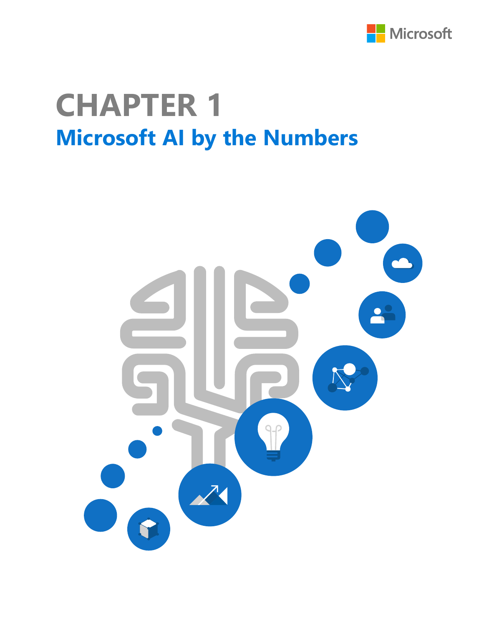

# **Microsoft AI by the Numbers CHAPTER 1**

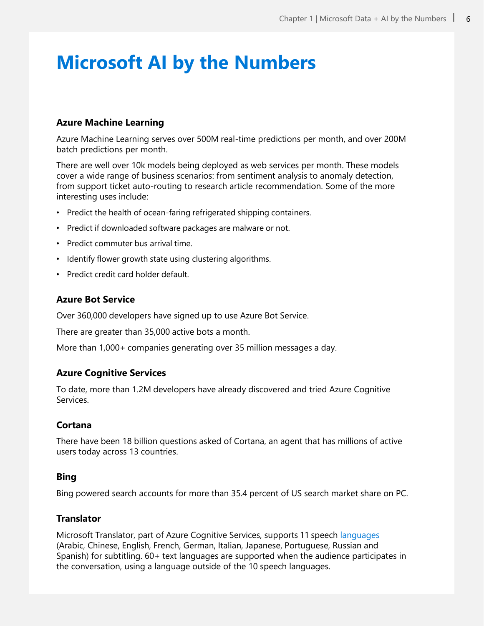# **Microsoft AI by the Numbers**

## **Azure Machine Learning**

Azure Machine Learning serves over 500M real-time predictions per month, and over 200M batch predictions per month.

There are well over 10k models being deployed as web services per month. These models cover a wide range of business scenarios: from sentiment analysis to anomaly detection, from support ticket auto-routing to research article recommendation. Some of the more interesting uses include:

- Predict the health of ocean-faring refrigerated shipping containers.
- Predict if downloaded software packages are malware or not.
- Predict commuter bus arrival time.
- Identify flower growth state using clustering algorithms.
- Predict credit card holder default.

### **Azure Bot Service**

Over 360,000 developers have signed up to use Azure Bot Service.

There are greater than 35,000 active bots a month.

More than 1,000+ companies generating over 35 million messages a day.

### **Azure Cognitive Services**

To date, more than 1.2M developers have already discovered and tried Azure Cognitive Services.

### **Cortana**

There have been 18 billion questions asked of Cortana, an agent that has millions of active users today across 13 countries.

### **Bing**

Bing powered search accounts for more than 35.4 percent of US search market share on PC.

### **Translator**

Microsoft Translator, part of Azure Cognitive Services, supports 11 speech [languages](https://www.microsoft.com/en-us/translator/business/languages/) (Arabic, Chinese, English, French, German, Italian, Japanese, Portuguese, Russian and Spanish) for subtitling. 60+ text languages are supported when the audience participates in the conversation, using a language outside of the 10 speech languages.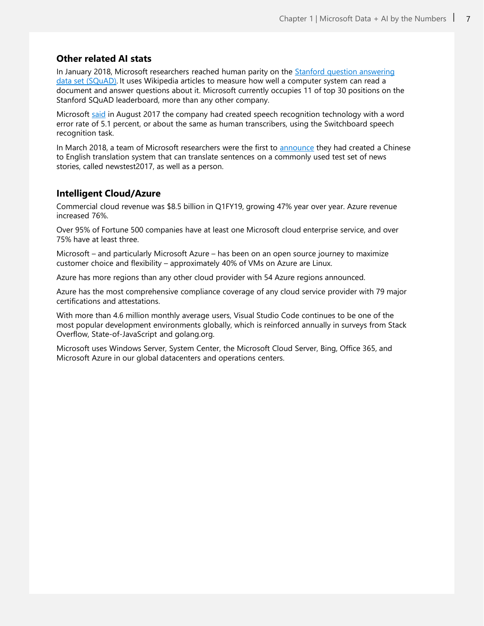### **Other related AI stats**

In January 2018, Microsoft researchers reached human parity on the Stanford question answering data set (SQuAD). [It uses Wikipedia articles to measure how well a computer system can read a](https://rajpurkar.github.io/SQuAD-explorer/)  document and answer questions about it. Microsoft currently occupies 11 of top 30 positions on the Stanford SQuAD leaderboard, more than any other company.

Microsoft [said](https://www.microsoft.com/en-us/research/blog/microsoft-researchers-achieve-new-conversational-speech-recognition-milestone/) in August 2017 the company had created speech recognition technology with a word error rate of 5.1 percent, or about the same as human transcribers, using the Switchboard speech recognition task.

In March 2018, a team of Microsoft researchers were the first to [announce](https://blogs.microsoft.com/ai/machine-translation-news-test-set-human-parity/) they had created a Chinese to English translation system that can translate sentences on a commonly used test set of news stories, called newstest2017, as well as a person.

#### **Intelligent Cloud/Azure**

Commercial cloud revenue was \$8.5 billion in Q1FY19, growing 47% year over year. Azure revenue increased 76%.

Over 95% of Fortune 500 companies have at least one Microsoft cloud enterprise service, and over 75% have at least three.

Microsoft – and particularly Microsoft Azure – has been on an open source journey to maximize customer choice and flexibility – approximately 40% of VMs on Azure are Linux.

Azure has more regions than any other cloud provider with 54 Azure regions announced.

Azure has the most comprehensive compliance coverage of any cloud service provider with 79 major certifications and attestations.

With more than 4.6 million monthly average users, Visual Studio Code continues to be one of the most popular development environments globally, which is reinforced annually in surveys from Stack Overflow, State-of-JavaScript and golang.org.

Microsoft uses Windows Server, System Center, the Microsoft Cloud Server, Bing, Office 365, and Microsoft Azure in our global datacenters and operations centers.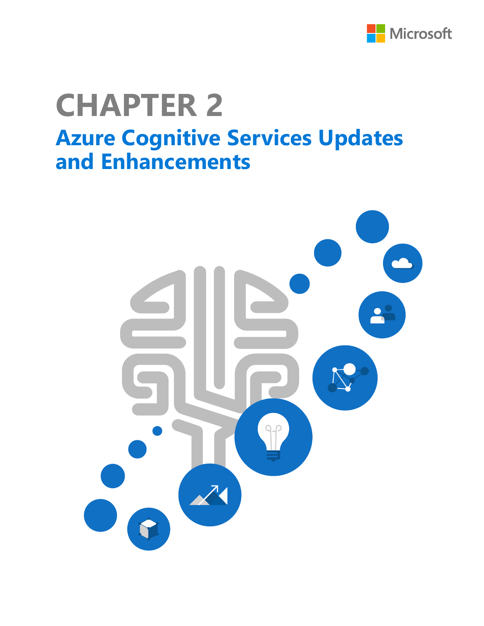

# **Azure Cognitive Services Updates and Enhancements CHAPTER 2**

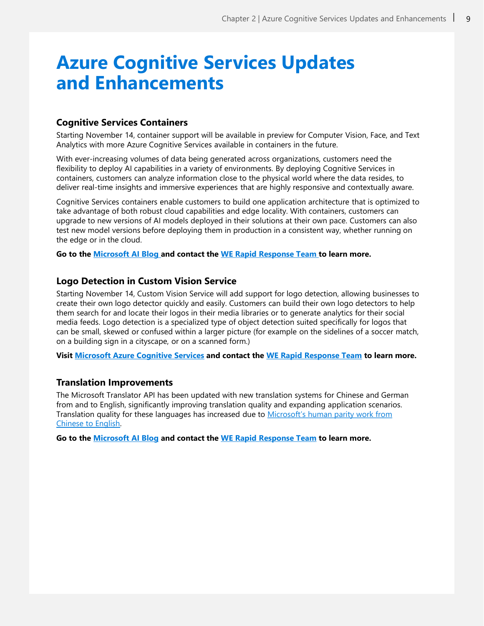# **Azure Cognitive Services Updates and Enhancements**

### **Cognitive Services Containers**

Starting November 14, container support will be available in preview for Computer Vision, Face, and Text Analytics with more Azure Cognitive Services available in containers in the future.

With ever-increasing volumes of data being generated across organizations, customers need the flexibility to deploy AI capabilities in a variety of environments. By deploying Cognitive Services in containers, customers can analyze information close to the physical world where the data resides, to deliver real-time insights and immersive experiences that are highly responsive and contextually aware.

Cognitive Services containers enable customers to build one application architecture that is optimized to take advantage of both robust cloud capabilities and edge locality. With containers, customers can upgrade to new versions of AI models deployed in their solutions at their own pace. Customers can also test new model versions before deploying them in production in a consistent way, whether running on the edge or in the cloud.

**Go to the [Microsoft AI Blog a](http://po.st/b7AGmP)nd contact the [WE Rapid Response Team](mailto:rapidresponse@we-worldwide.com) to learn more.**

#### **Logo Detection in Custom Vision Service**

Starting November 14, Custom Vision Service will add support for logo detection, allowing businesses to create their own logo detector quickly and easily. Customers can build their own logo detectors to help them search for and locate their logos in their media libraries or to generate analytics for their social media feeds. Logo detection is a specialized type of object detection suited specifically for logos that can be small, skewed or confused within a larger picture (for example on the sidelines of a soccer match, on a building sign in a cityscape, or on a scanned form.)

**Visit [Microsoft Azure Cognitive Services](https://azure.microsoft.com/en-us/services/cognitive-services/?&OCID=AID719825_SEM_hzTlEwJJ&lnkd=Bing_Azure_Brand&msclkid=56f1d5861b631000fc588e6712653dfb&dclid=CNaU3J_ovt4CFVsFrQYdxB8LMQ) and contact the [WE Rapid Response Team](mailto:rapidresponse@we-worldwide.com) to learn more.**

### **Translation Improvements**

The Microsoft Translator API has been updated with new translation systems for Chinese and German from and to English, significantly improving translation quality and expanding application scenarios. [Translation quality for these languages has increased due to](https://blogs.microsoft.com/ai/machine-translation-news-test-set-human-parity/) Microsoft's human parity work from Chinese to English.

**Go to the [Microsoft AI Blog](http://po.st/b7AGmP) and contact the [WE Rapid Response Team](mailto:rapidresponse@we-worldwide.com) to learn more.**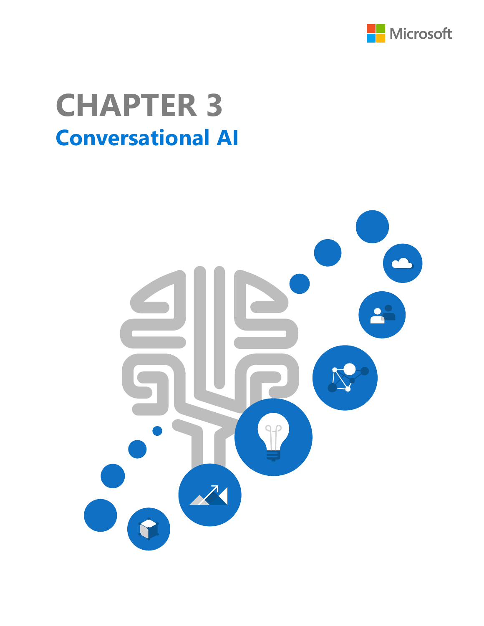

# **Conversational AI CHAPTER 3**

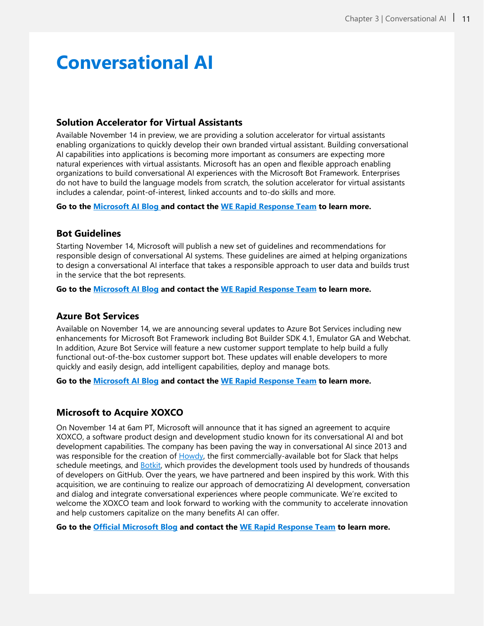# **Conversational AI**

## **Solution Accelerator for Virtual Assistants**

Available November 14 in preview, we are providing a solution accelerator for virtual assistants enabling organizations to quickly develop their own branded virtual assistant. Building conversational AI capabilities into applications is becoming more important as consumers are expecting more natural experiences with virtual assistants. Microsoft has an open and flexible approach enabling organizations to build conversational AI experiences with the Microsoft Bot Framework. Enterprises do not have to build the language models from scratch, the solution accelerator for virtual assistants includes a calendar, point-of-interest, linked accounts and to-do skills and more.

**Go to the [Microsoft AI Blog a](http://po.st/b7AGmP)nd contact the [WE Rapid Response Team](mailto:rapidresponse@we-worldwide.com) to learn more.**

### **Bot Guidelines**

Starting November 14, Microsoft will publish a new set of guidelines and recommendations for responsible design of conversational AI systems. These guidelines are aimed at helping organizations to design a conversational AI interface that takes a responsible approach to user data and builds trust in the service that the bot represents.

**Go to the [Microsoft AI Blog](http://po.st/b7AGmP) and contact the [WE Rapid Response Team](mailto:rapidresponse@we-worldwide.com) to learn more.**

### **Azure Bot Services**

Available on November 14, we are announcing several updates to Azure Bot Services including new enhancements for Microsoft Bot Framework including Bot Builder SDK 4.1, Emulator GA and Webchat. In addition, Azure Bot Service will feature a new customer support template to help build a fully functional out-of-the-box customer support bot. These updates will enable developers to more quickly and easily design, add intelligent capabilities, deploy and manage bots.

**Go to the [Microsoft AI Blog](http://po.st/b7AGmP) and contact the [WE Rapid Response Team](mailto:rapidresponse@we-worldwide.com) to learn more.**

### **Microsoft to Acquire XOXCO**

On November 14 at 6am PT, Microsoft will announce that it has signed an agreement to acquire XOXCO, a software product design and development studio known for its conversational AI and bot development capabilities. The company has been paving the way in conversational AI since 2013 and was responsible for the creation of [Howdy](https://howdy.ai/), the first commercially-available bot for Slack that helps schedule meetings, and **[Botkit](https://botkit.ai/)**, which provides the development tools used by hundreds of thousands of developers on GitHub. Over the years, we have partnered and been inspired by this work. With this acquisition, we are continuing to realize our approach of democratizing AI development, conversation and dialog and integrate conversational experiences where people communicate. We're excited to welcome the XOXCO team and look forward to working with the community to accelerate innovation and help customers capitalize on the many benefits AI can offer.

**Go to the [Official Microsoft Blog](https://blogs.microsoft.com/?p=52557249) and contact the [WE Rapid Response Team](mailto:rapidresponse@we-worldwide.com) to learn more.**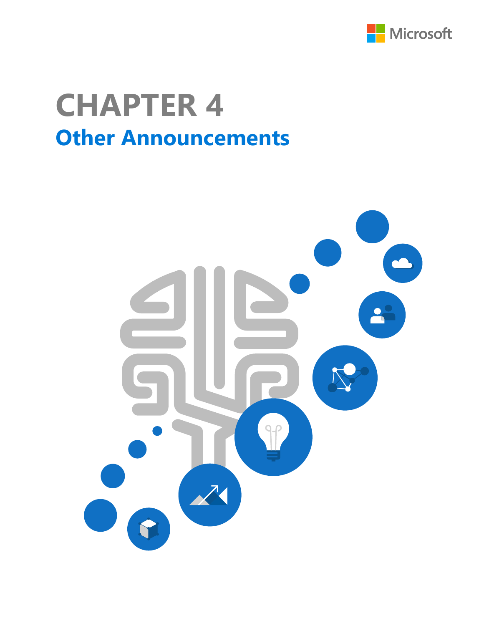

# **Other Announcements CHAPTER 4**

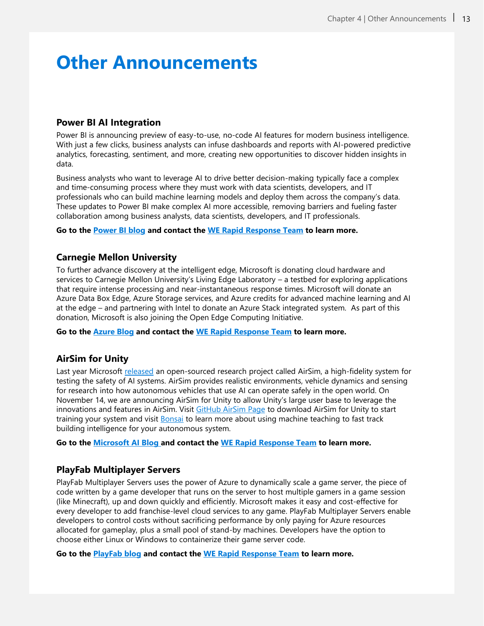# **Other Announcements**

## **Power BI AI Integration**

Power BI is announcing preview of easy-to-use, no-code AI features for modern business intelligence. With just a few clicks, business analysts can infuse dashboards and reports with AI-powered predictive analytics, forecasting, sentiment, and more, creating new opportunities to discover hidden insights in data.

Business analysts who want to leverage AI to drive better decision-making typically face a complex and time-consuming process where they must work with data scientists, developers, and IT professionals who can build machine learning models and deploy them across the company's data. These updates to Power BI make complex AI more accessible, removing barriers and fueling faster collaboration among business analysts, data scientists, developers, and IT professionals.

**Go to the [Power BI blog](https://powerbi.microsoft.com/en-us/blog/power-bi-announces-new-ai-capabilities/preview/) and contact the [WE Rapid Response Team](mailto:rapidresponse@we-worldwide.com) to learn more.**

### **Carnegie Mellon University**

To further advance discovery at the intelligent edge, Microsoft is donating cloud hardware and services to Carnegie Mellon University's Living Edge Laboratory – a testbed for exploring applications that require intense processing and near-instantaneous response times. Microsoft will donate an Azure Data Box Edge, Azure Storage services, and Azure credits for advanced machine learning and AI at the edge – and partnering with Intel to donate an Azure Stack integrated system. As part of this donation, Microsoft is also joining the Open Edge Computing Initiative.

**Go to the [Azure Blog](https://aka.ms/microsoft_CMUcollaboration) and contact the [WE Rapid Response Team](mailto:rapidresponse@we-worldwide.com) to learn more.** 

### **AirSim for Unity**

Last year Microsoft [released](https://www.microsoft.com/en-us/research/blog/autonomous-car-research/) an open-sourced research project called AirSim, a high-fidelity system for testing the safety of AI systems. AirSim provides realistic environments, vehicle dynamics and sensing for research into how autonomous vehicles that use AI can operate safely in the open world. On November 14, we are announcing AirSim for Unity to allow Unity's large user base to leverage the innovations and features in AirSim. Visit [GitHub AirSim](https://github.com/Microsoft/AirSim/blob/master/docs/image_apis.md) Page to download AirSim for Unity to start training your system and visit [Bonsai](https://bons.ai/) to learn more about using machine teaching to fast track building intelligence for your autonomous system.

**Go to the [Microsoft AI Blog a](http://po.st/b7AGmP)nd contact the [WE Rapid Response Team](mailto:rapidresponse@we-worldwide.com) to learn more.** 

### **PlayFab Multiplayer Servers**

PlayFab Multiplayer Servers uses the power of Azure to dynamically scale a game server, the piece of code written by a game developer that runs on the server to host multiple gamers in a game session (like Minecraft), up and down quickly and efficiently. Microsoft makes it easy and cost-effective for every developer to add franchise-level cloud services to any game. PlayFab Multiplayer Servers enable developers to control costs without sacrificing performance by only paying for Azure resources allocated for gameplay, plus a small pool of stand-by machines. Developers have the option to choose either Linux or Windows to containerize their game server code.

**Go to the [PlayFab](https://na01.safelinks.protection.outlook.com/?url=https://blog.playfab.com/blog&data=02|01|kerry.schimmelbusch@microsoft.com|facd1718bb7f4a5d152908d64370bc4f|72f988bf86f141af91ab2d7cd011db47|1|0|636770548803028594&sdata=RSDoiiS2uNFvZIokXzdv7eoXqNG0EQykM0nBeWpxB5k%3D&reserved=0) blog and contact the [WE Rapid Response Team](mailto:rapidresponse@we-worldwide.com) to learn more.**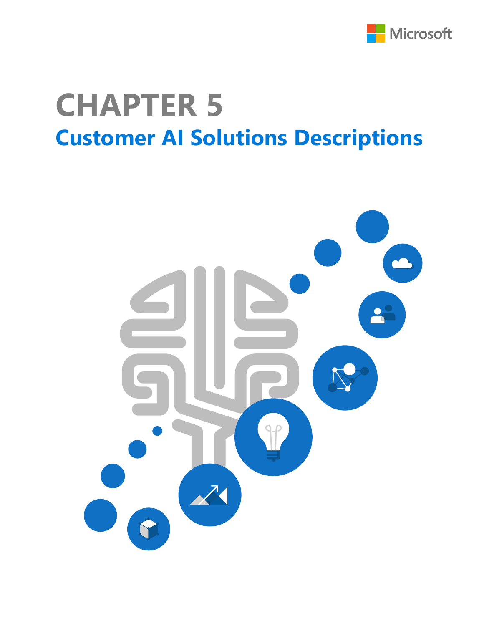

# **Customer AI Solutions Descriptions CHAPTER 5**

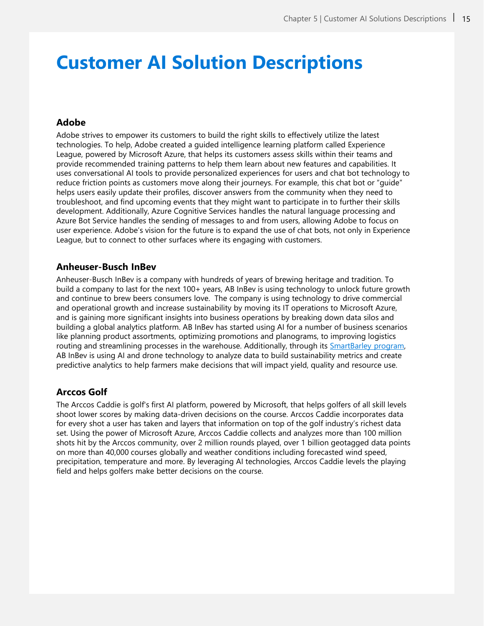# **Customer AI Solution Descriptions**

### **Adobe**

Adobe strives to empower its customers to build the right skills to effectively utilize the latest technologies. To help, Adobe created a guided intelligence learning platform called Experience League, powered by Microsoft Azure, that helps its customers assess skills within their teams and provide recommended training patterns to help them learn about new features and capabilities. It uses conversational AI tools to provide personalized experiences for users and chat bot technology to reduce friction points as customers move along their journeys. For example, this chat bot or "guide" helps users easily update their profiles, discover answers from the community when they need to troubleshoot, and find upcoming events that they might want to participate in to further their skills development. Additionally, Azure Cognitive Services handles the natural language processing and Azure Bot Service handles the sending of messages to and from users, allowing Adobe to focus on user experience. Adobe's vision for the future is to expand the use of chat bots, not only in Experience League, but to connect to other surfaces where its engaging with customers.

### **Anheuser-Busch InBev**

Anheuser-Busch InBev is a company with hundreds of years of brewing heritage and tradition. To build a company to last for the next 100+ years, AB InBev is using technology to unlock future growth and continue to brew beers consumers love. The company is using technology to drive commercial and operational growth and increase sustainability by moving its IT operations to Microsoft Azure, and is gaining more significant insights into business operations by breaking down data silos and building a global analytics platform. AB InBev has started using AI for a number of business scenarios like planning product assortments, optimizing promotions and planograms, to improving logistics routing and streamlining processes in the warehouse. Additionally, through its [SmartBarley](https://www.smartbarley.com/en/home.html) program, AB InBev is using AI and drone technology to analyze data to build sustainability metrics and create predictive analytics to help farmers make decisions that will impact yield, quality and resource use.

### **Arccos Golf**

The Arccos Caddie is golf's first AI platform, powered by Microsoft, that helps golfers of all skill levels shoot lower scores by making data-driven decisions on the course. Arccos Caddie incorporates data for every shot a user has taken and layers that information on top of the golf industry's richest data set. Using the power of Microsoft Azure, Arccos Caddie collects and analyzes more than 100 million shots hit by the Arccos community, over 2 million rounds played, over 1 billion geotagged data points on more than 40,000 courses globally and weather conditions including forecasted wind speed, precipitation, temperature and more. By leveraging AI technologies, Arccos Caddie levels the playing field and helps golfers make better decisions on the course.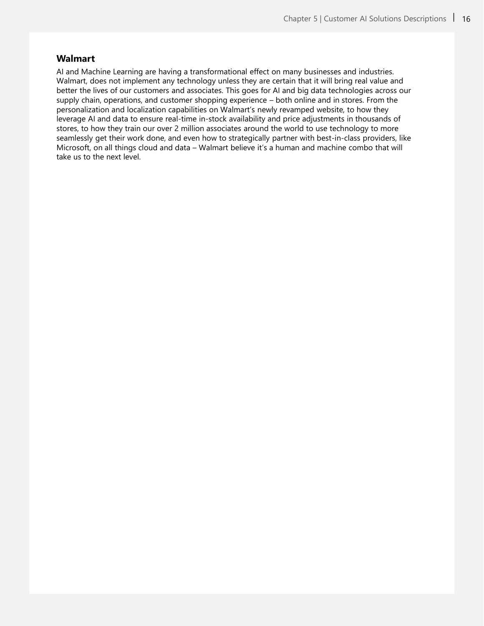### **Walmart**

AI and Machine Learning are having a transformational effect on many businesses and industries. Walmart, does not implement any technology unless they are certain that it will bring real value and better the lives of our customers and associates. This goes for AI and big data technologies across our supply chain, operations, and customer shopping experience – both online and in stores. From the personalization and localization capabilities on Walmart's newly revamped website, to how they leverage AI and data to ensure real-time in-stock availability and price adjustments in thousands of stores, to how they train our over 2 million associates around the world to use technology to more seamlessly get their work done, and even how to strategically partner with best-in-class providers, like Microsoft, on all things cloud and data – Walmart believe it's a human and machine combo that will take us to the next level.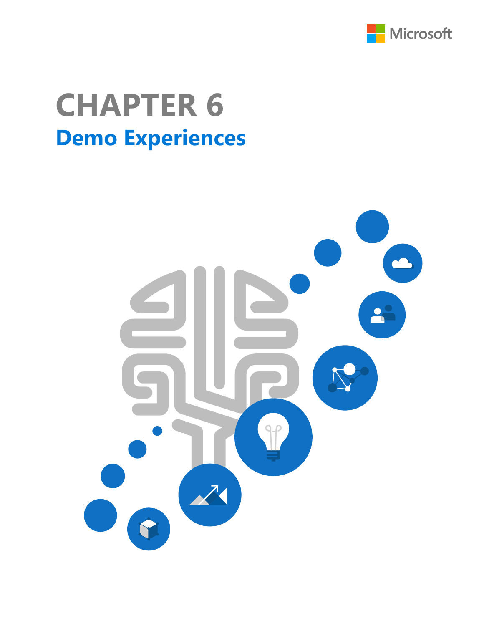

# **Demo Experiences CHAPTER 6**

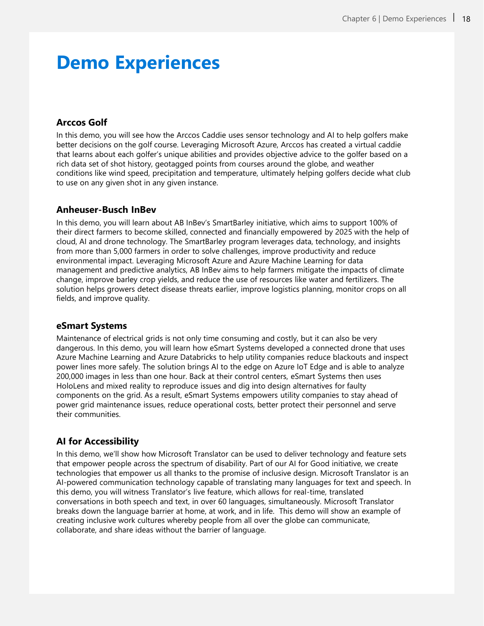## **Demo Experiences**

## **Arccos Golf**

In this demo, you will see how the Arccos Caddie uses sensor technology and AI to help golfers make better decisions on the golf course. Leveraging Microsoft Azure, Arccos has created a virtual caddie that learns about each golfer's unique abilities and provides objective advice to the golfer based on a rich data set of shot history, geotagged points from courses around the globe, and weather conditions like wind speed, precipitation and temperature, ultimately helping golfers decide what club to use on any given shot in any given instance.

### **Anheuser-Busch InBev**

In this demo, you will learn about AB InBev's SmartBarley initiative, which aims to support 100% of their direct farmers to become skilled, connected and financially empowered by 2025 with the help of cloud, AI and drone technology. The SmartBarley program leverages data, technology, and insights from more than 5,000 farmers in order to solve challenges, improve productivity and reduce environmental impact. Leveraging Microsoft Azure and Azure Machine Learning for data management and predictive analytics, AB InBev aims to help farmers mitigate the impacts of climate change, improve barley crop yields, and reduce the use of resources like water and fertilizers. The solution helps growers detect disease threats earlier, improve logistics planning, monitor crops on all fields, and improve quality.

### **eSmart Systems**

Maintenance of electrical grids is not only time consuming and costly, but it can also be very dangerous. In this demo, you will learn how eSmart Systems developed a connected drone that uses Azure Machine Learning and Azure Databricks to help utility companies reduce blackouts and inspect power lines more safely. The solution brings AI to the edge on Azure IoT Edge and is able to analyze 200,000 images in less than one hour. Back at their control centers, eSmart Systems then uses HoloLens and mixed reality to reproduce issues and dig into design alternatives for faulty components on the grid. As a result, eSmart Systems empowers utility companies to stay ahead of power grid maintenance issues, reduce operational costs, better protect their personnel and serve their communities.

## **AI for Accessibility**

In this demo, we'll show how Microsoft Translator can be used to deliver technology and feature sets that empower people across the spectrum of disability. Part of our AI for Good initiative, we create technologies that empower us all thanks to the promise of inclusive design. Microsoft Translator is an AI-powered communication technology capable of translating many languages for text and speech. In this demo, you will witness Translator's live feature, which allows for real-time, translated conversations in both speech and text, in over 60 languages, simultaneously. Microsoft Translator breaks down the language barrier at home, at work, and in life. This demo will show an example of creating inclusive work cultures whereby people from all over the globe can communicate, collaborate, and share ideas without the barrier of language.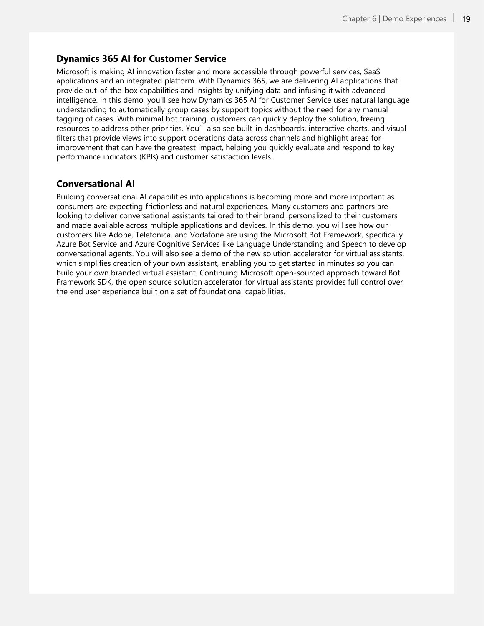### **Dynamics 365 AI for Customer Service**

Microsoft is making AI innovation faster and more accessible through powerful services, SaaS applications and an integrated platform. With Dynamics 365, we are delivering AI applications that provide out-of-the-box capabilities and insights by unifying data and infusing it with advanced intelligence. In this demo, you'll see how Dynamics 365 AI for Customer Service uses natural language understanding to automatically group cases by support topics without the need for any manual tagging of cases. With minimal bot training, customers can quickly deploy the solution, freeing resources to address other priorities. You'll also see built-in dashboards, interactive charts, and visual filters that provide views into support operations data across channels and highlight areas for improvement that can have the greatest impact, helping you quickly evaluate and respond to key performance indicators (KPIs) and customer satisfaction levels.

## **Conversational AI**

Building conversational AI capabilities into applications is becoming more and more important as consumers are expecting frictionless and natural experiences. Many customers and partners are looking to deliver conversational assistants tailored to their brand, personalized to their customers and made available across multiple applications and devices. In this demo, you will see how our customers like Adobe, Telefonica, and Vodafone are using the Microsoft Bot Framework, specifically Azure Bot Service and Azure Cognitive Services like Language Understanding and Speech to develop conversational agents. You will also see a demo of the new solution accelerator for virtual assistants, which simplifies creation of your own assistant, enabling you to get started in minutes so you can build your own branded virtual assistant. Continuing Microsoft open-sourced approach toward Bot Framework SDK, the open source solution accelerator for virtual assistants provides full control over the end user experience built on a set of foundational capabilities.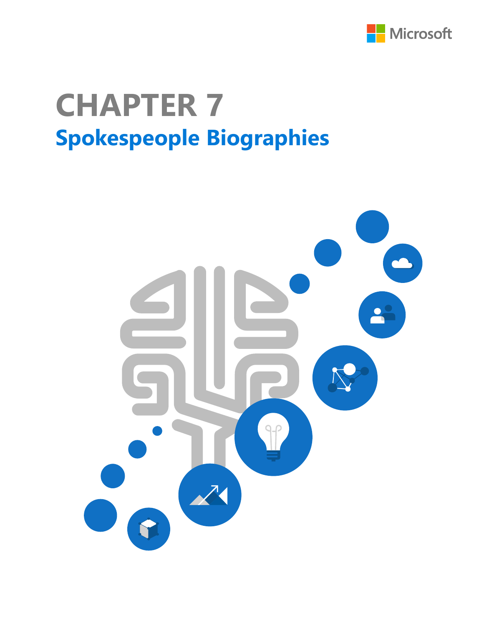

# **Spokespeople Biographies CHAPTER 7**

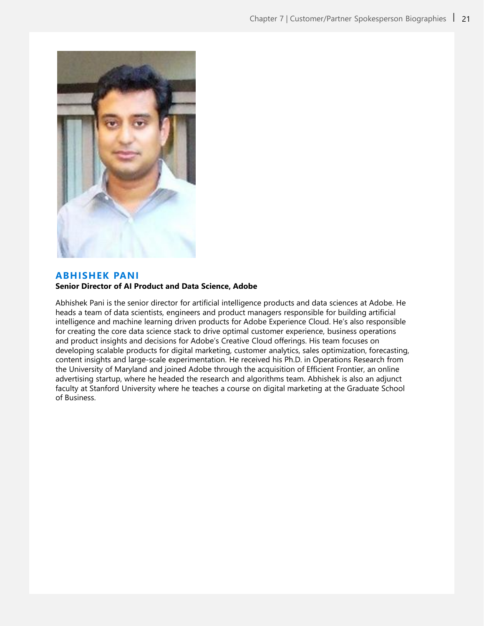

#### **ABHISHEK PANI**

#### **Senior Director of AI Product and Data Science, Adobe**

Abhishek Pani is the senior director for artificial intelligence products and data sciences at Adobe. He heads a team of data scientists, engineers and product managers responsible for building artificial intelligence and machine learning driven products for Adobe Experience Cloud. He's also responsible for creating the core data science stack to drive optimal customer experience, business operations and product insights and decisions for Adobe's Creative Cloud offerings. His team focuses on developing scalable products for digital marketing, customer analytics, sales optimization, forecasting, content insights and large-scale experimentation. He received his Ph.D. in Operations Research from the University of Maryland and joined Adobe through the acquisition of Efficient Frontier, an online advertising startup, where he headed the research and algorithms team. Abhishek is also an adjunct faculty at Stanford University where he teaches a course on digital marketing at the Graduate School of Business.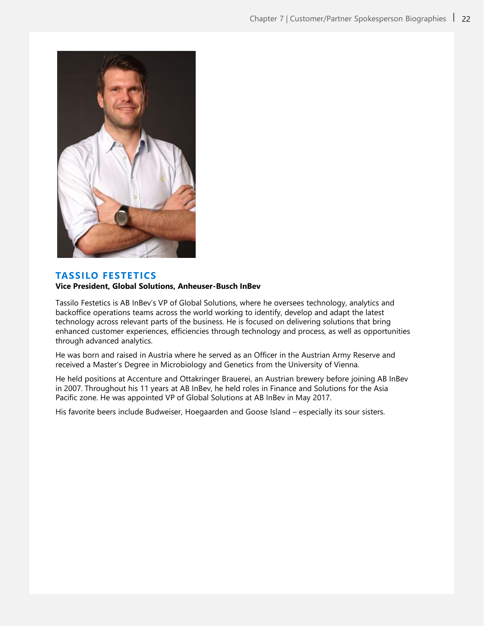

### **TASSILO FESTETICS**

#### **Vice President, Global Solutions, Anheuser-Busch InBev**

Tassilo Festetics is AB InBev's VP of Global Solutions, where he oversees technology, analytics and backoffice operations teams across the world working to identify, develop and adapt the latest technology across relevant parts of the business. He is focused on delivering solutions that bring enhanced customer experiences, efficiencies through technology and process, as well as opportunities through advanced analytics.

He was born and raised in Austria where he served as an Officer in the Austrian Army Reserve and received a Master's Degree in Microbiology and Genetics from the University of Vienna.

He held positions at Accenture and Ottakringer Brauerei, an Austrian brewery before joining AB InBev in 2007. Throughout his 11 years at AB InBev, he held roles in Finance and Solutions for the Asia Pacific zone. He was appointed VP of Global Solutions at AB InBev in May 2017.

His favorite beers include Budweiser, Hoegaarden and Goose Island – especially its sour sisters.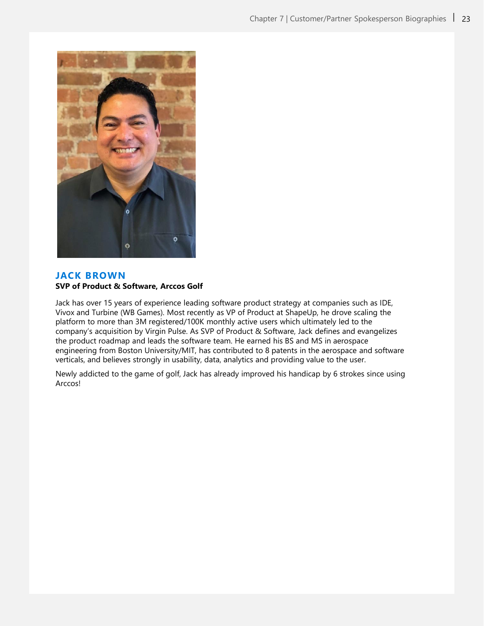

### **JACK BROWN SVP of Product & Software, Arccos Golf**

Jack has over 15 years of experience leading software product strategy at companies such as IDE, Vivox and Turbine (WB Games). Most recently as VP of Product at ShapeUp, he drove scaling the platform to more than 3M registered/100K monthly active users which ultimately led to the company's acquisition by Virgin Pulse. As SVP of Product & Software, Jack defines and evangelizes the product roadmap and leads the software team. He earned his BS and MS in aerospace engineering from Boston University/MIT, has contributed to 8 patents in the aerospace and software verticals, and believes strongly in usability, data, analytics and providing value to the user.

Newly addicted to the game of golf, Jack has already improved his handicap by 6 strokes since using Arccos!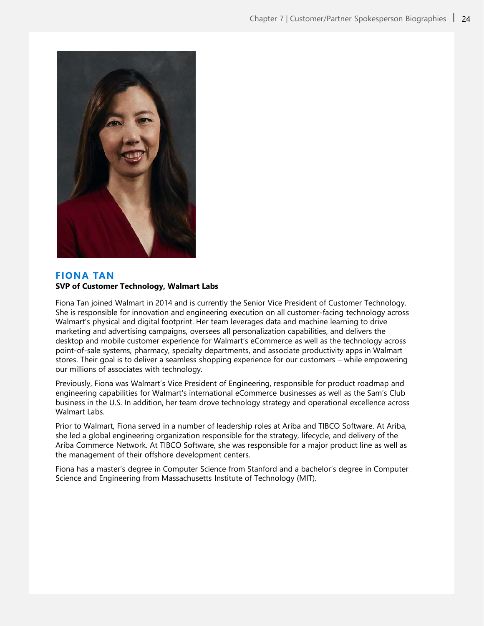

### **FIONA TAN SVP of Customer Technology, Walmart Labs**

Fiona Tan joined Walmart in 2014 and is currently the Senior Vice President of Customer Technology. She is responsible for innovation and engineering execution on all customer-facing technology across Walmart's physical and digital footprint. Her team leverages data and machine learning to drive marketing and advertising campaigns, oversees all personalization capabilities, and delivers the desktop and mobile customer experience for Walmart's eCommerce as well as the technology across point-of-sale systems, pharmacy, specialty departments, and associate productivity apps in Walmart stores. Their goal is to deliver a seamless shopping experience for our customers – while empowering our millions of associates with technology.

Previously, Fiona was Walmart's Vice President of Engineering, responsible for product roadmap and engineering capabilities for Walmart's international eCommerce businesses as well as the Sam's Club business in the U.S. In addition, her team drove technology strategy and operational excellence across Walmart Labs.

Prior to Walmart, Fiona served in a number of leadership roles at Ariba and TIBCO Software. At Ariba, she led a global engineering organization responsible for the strategy, lifecycle, and delivery of the Ariba Commerce Network. At TIBCO Software, she was responsible for a major product line as well as the management of their offshore development centers.

Fiona has a master's degree in Computer Science from Stanford and a bachelor's degree in Computer Science and Engineering from Massachusetts Institute of Technology (MIT).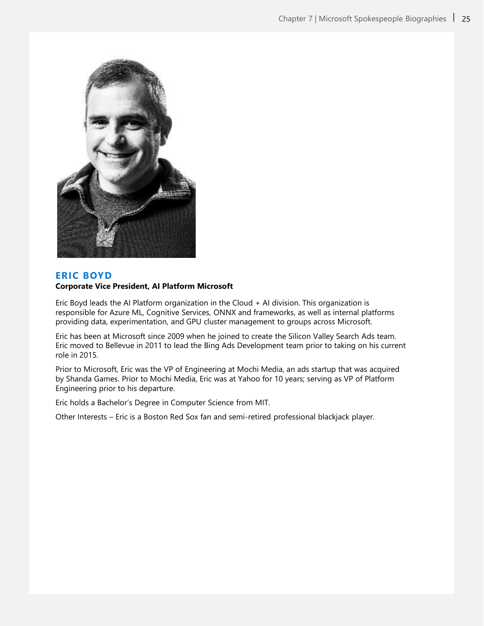

### **ERIC BOYD**

#### **Corporate Vice President, AI Platform Microsoft**

Eric Boyd leads the AI Platform organization in the Cloud + AI division. This organization is responsible for Azure ML, Cognitive Services, ONNX and frameworks, as well as internal platforms providing data, experimentation, and GPU cluster management to groups across Microsoft.

Eric has been at Microsoft since 2009 when he joined to create the Silicon Valley Search Ads team. Eric moved to Bellevue in 2011 to lead the Bing Ads Development team prior to taking on his current role in 2015.

Prior to Microsoft, Eric was the VP of Engineering at Mochi Media, an ads startup that was acquired by Shanda Games. Prior to Mochi Media, Eric was at Yahoo for 10 years; serving as VP of Platform Engineering prior to his departure.

Eric holds a Bachelor's Degree in Computer Science from MIT.

Other Interests – Eric is a Boston Red Sox fan and semi-retired professional blackjack player.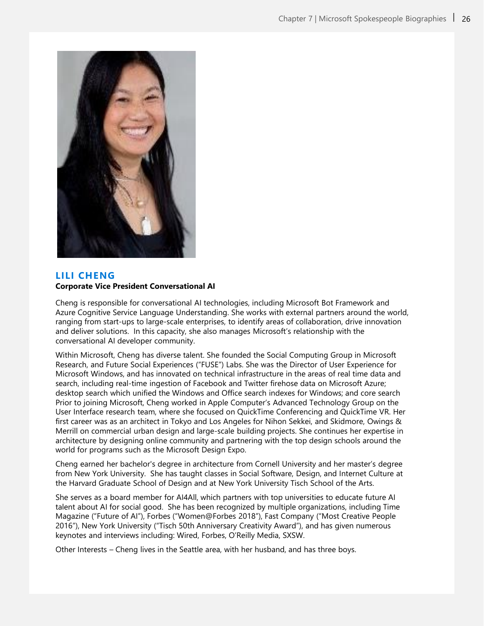

### **LILI CHENG Corporate Vice President Conversational AI**

Cheng is responsible for conversational AI technologies, including Microsoft Bot Framework and Azure Cognitive Service Language Understanding. She works with external partners around the world, ranging from start-ups to large-scale enterprises, to identify areas of collaboration, drive innovation and deliver solutions. In this capacity, she also manages Microsoft's relationship with the conversational AI developer community.

Within Microsoft, Cheng has diverse talent. She founded the Social Computing Group in Microsoft Research, and Future Social Experiences ("FUSE") Labs. She was the Director of User Experience for Microsoft Windows, and has innovated on technical infrastructure in the areas of real time data and search, including real-time ingestion of Facebook and Twitter firehose data on Microsoft Azure; desktop search which unified the Windows and Office search indexes for Windows; and core search Prior to joining Microsoft, Cheng worked in Apple Computer's Advanced Technology Group on the User Interface research team, where she focused on QuickTime Conferencing and QuickTime VR. Her first career was as an architect in Tokyo and Los Angeles for Nihon Sekkei, and Skidmore, Owings & Merrill on commercial urban design and large-scale building projects. She continues her expertise in architecture by designing online community and partnering with the top design schools around the world for programs such as the Microsoft Design Expo.

Cheng earned her bachelor's degree in architecture from Cornell University and her master's degree from New York University. She has taught classes in Social Software, Design, and Internet Culture at the Harvard Graduate School of Design and at New York University Tisch School of the Arts.

She serves as a board member for AI4All, which partners with top universities to educate future AI talent about AI for social good. She has been recognized by multiple organizations, including Time Magazine ("Future of AI"), Forbes ("Women@Forbes 2018"), Fast Company ("Most Creative People 2016"), New York University ("Tisch 50th Anniversary Creativity Award"), and has given numerous keynotes and interviews including: Wired, Forbes, O'Reilly Media, SXSW.

Other Interests – Cheng lives in the Seattle area, with her husband, and has three boys.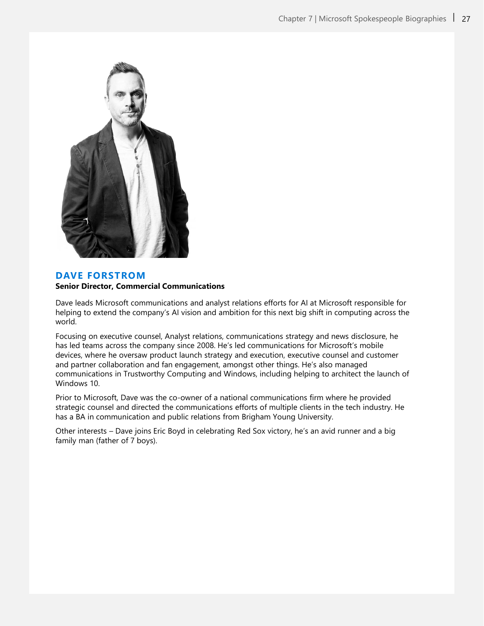

### **DAVE FORSTROM**

#### **Senior Director, Commercial Communications**

Dave leads Microsoft communications and analyst relations efforts for AI at Microsoft responsible for helping to extend the company's AI vision and ambition for this next big shift in computing across the world.

Focusing on executive counsel, Analyst relations, communications strategy and news disclosure, he has led teams across the company since 2008. He's led communications for Microsoft's mobile devices, where he oversaw product launch strategy and execution, executive counsel and customer and partner collaboration and fan engagement, amongst other things. He's also managed communications in Trustworthy Computing and Windows, including helping to architect the launch of Windows 10.

Prior to Microsoft, Dave was the co-owner of a national communications firm where he provided strategic counsel and directed the communications efforts of multiple clients in the tech industry. He has a BA in communication and public relations from Brigham Young University.

Other interests – Dave joins Eric Boyd in celebrating Red Sox victory, he's an avid runner and a big family man (father of 7 boys).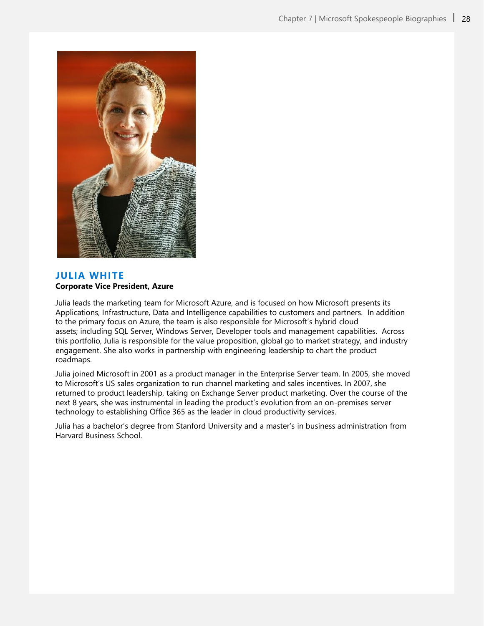

### **JULIA WHITE Corporate Vice President, Azure**

Julia leads the marketing team for Microsoft Azure, and is focused on how Microsoft presents its Applications, Infrastructure, Data and Intelligence capabilities to customers and partners. In addition to the primary focus on Azure, the team is also responsible for Microsoft's hybrid cloud assets; including SQL Server, Windows Server, Developer tools and management capabilities. Across this portfolio, Julia is responsible for the value proposition, global go to market strategy, and industry engagement. She also works in partnership with engineering leadership to chart the product roadmaps.

Julia joined Microsoft in 2001 as a product manager in the Enterprise Server team. In 2005, she moved to Microsoft's US sales organization to run channel marketing and sales incentives. In 2007, she returned to product leadership, taking on Exchange Server product marketing. Over the course of the next 8 years, she was instrumental in leading the product's evolution from an on-premises server technology to establishing Office 365 as the leader in cloud productivity services.

Julia has a bachelor's degree from Stanford University and a master's in business administration from Harvard Business School.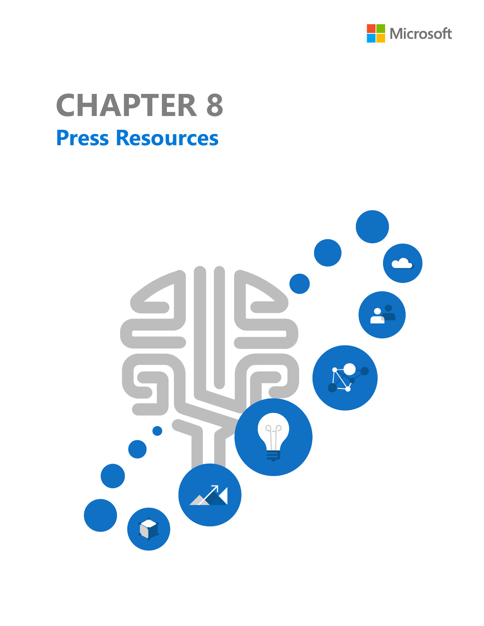

# **Press Resources CHAPTER 8**

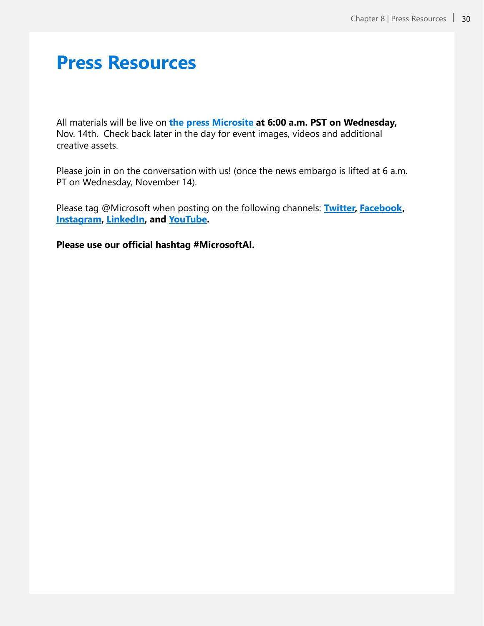## **Press Resources**

All materials will be live on **[the press Microsite a](https://news.microsoft.com/ai-in-business-2018)t 6:00 a.m. PST on Wednesday,**  Nov. 14th. Check back later in the day for event images, videos and additional creative assets.

Please join in on the conversation with us! (once the news embargo is lifted at 6 a.m. PT on Wednesday, November 14).

Please tag @Microsoft when posting on the following channels: **[Twitter,](https://twitter.com/microsoft) [Facebook](https://www.facebook.com/Microsoft/), [Instagram,](https://www.instagram.com/microsoft/) [LinkedIn](https://www.linkedin.com/authwall?trk=bf&trkInfo=AQHCbF5hHcMGwgAAAWb6UT0AgBuX3aE_euh6-dPRBMMJVmrue7WcYp-FPrVjazg1MsZm5EfQhopXffijwCCAPE64vSC1pPcRaupTtE-nW1K-f21Jst_eeAzVBN3EwRpEi19pr2s=&originalReferer=&sessionRedirect=https://www.linkedin.com/company/microsoft/), and [YouTube](https://www.youtube.com/Microsoft).**

**Please use our official hashtag #MicrosoftAI.**